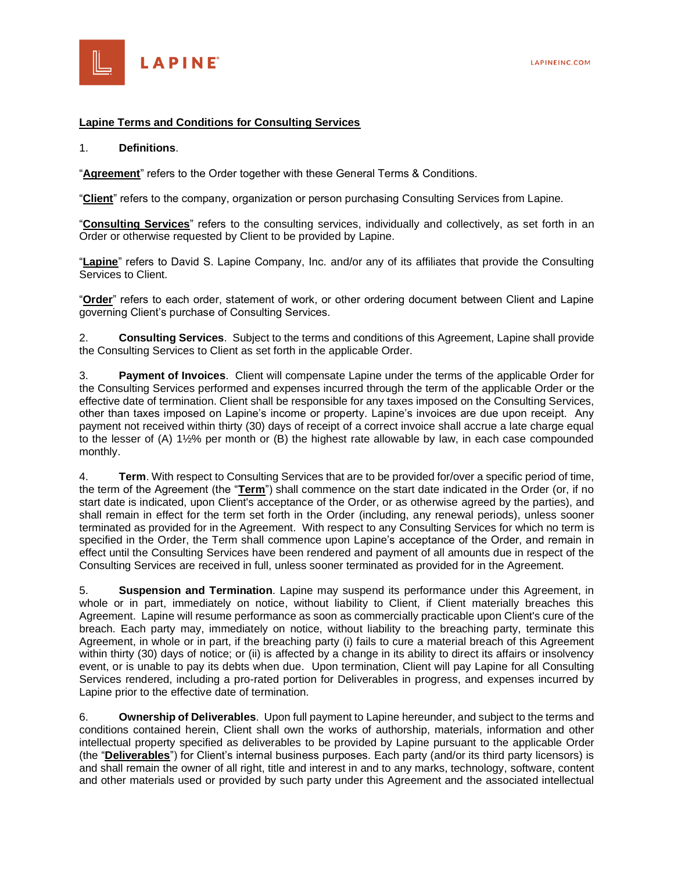

### **Lapine Terms and Conditions for Consulting Services**

#### 1. **Definitions**.

"**Agreement**" refers to the Order together with these General Terms & Conditions.

"**Client**" refers to the company, organization or person purchasing Consulting Services from Lapine.

"**Consulting Services**" refers to the consulting services, individually and collectively, as set forth in an Order or otherwise requested by Client to be provided by Lapine.

"**Lapine**" refers to David S. Lapine Company, Inc. and/or any of its affiliates that provide the Consulting Services to Client.

"**Order**" refers to each order, statement of work, or other ordering document between Client and Lapine governing Client's purchase of Consulting Services.

2. **Consulting Services**. Subject to the terms and conditions of this Agreement, Lapine shall provide the Consulting Services to Client as set forth in the applicable Order.

3. **Payment of Invoices**. Client will compensate Lapine under the terms of the applicable Order for the Consulting Services performed and expenses incurred through the term of the applicable Order or the effective date of termination. Client shall be responsible for any taxes imposed on the Consulting Services, other than taxes imposed on Lapine's income or property. Lapine's invoices are due upon receipt. Any payment not received within thirty (30) days of receipt of a correct invoice shall accrue a late charge equal to the lesser of (A) 1½% per month or (B) the highest rate allowable by law, in each case compounded monthly.

4. **Term**. With respect to Consulting Services that are to be provided for/over a specific period of time, the term of the Agreement (the "**Term**") shall commence on the start date indicated in the Order (or, if no start date is indicated, upon Client's acceptance of the Order, or as otherwise agreed by the parties), and shall remain in effect for the term set forth in the Order (including, any renewal periods), unless sooner terminated as provided for in the Agreement. With respect to any Consulting Services for which no term is specified in the Order, the Term shall commence upon Lapine's acceptance of the Order, and remain in effect until the Consulting Services have been rendered and payment of all amounts due in respect of the Consulting Services are received in full, unless sooner terminated as provided for in the Agreement.

5. **Suspension and Termination**. Lapine may suspend its performance under this Agreement, in whole or in part, immediately on notice, without liability to Client, if Client materially breaches this Agreement. Lapine will resume performance as soon as commercially practicable upon Client's cure of the breach. Each party may, immediately on notice, without liability to the breaching party, terminate this Agreement, in whole or in part, if the breaching party (i) fails to cure a material breach of this Agreement within thirty (30) days of notice; or (ii) is affected by a change in its ability to direct its affairs or insolvency event, or is unable to pay its debts when due. Upon termination, Client will pay Lapine for all Consulting Services rendered, including a pro-rated portion for Deliverables in progress, and expenses incurred by Lapine prior to the effective date of termination.

6. **Ownership of Deliverables**. Upon full payment to Lapine hereunder, and subject to the terms and conditions contained herein, Client shall own the works of authorship, materials, information and other intellectual property specified as deliverables to be provided by Lapine pursuant to the applicable Order (the "**Deliverables**") for Client's internal business purposes. Each party (and/or its third party licensors) is and shall remain the owner of all right, title and interest in and to any marks, technology, software, content and other materials used or provided by such party under this Agreement and the associated intellectual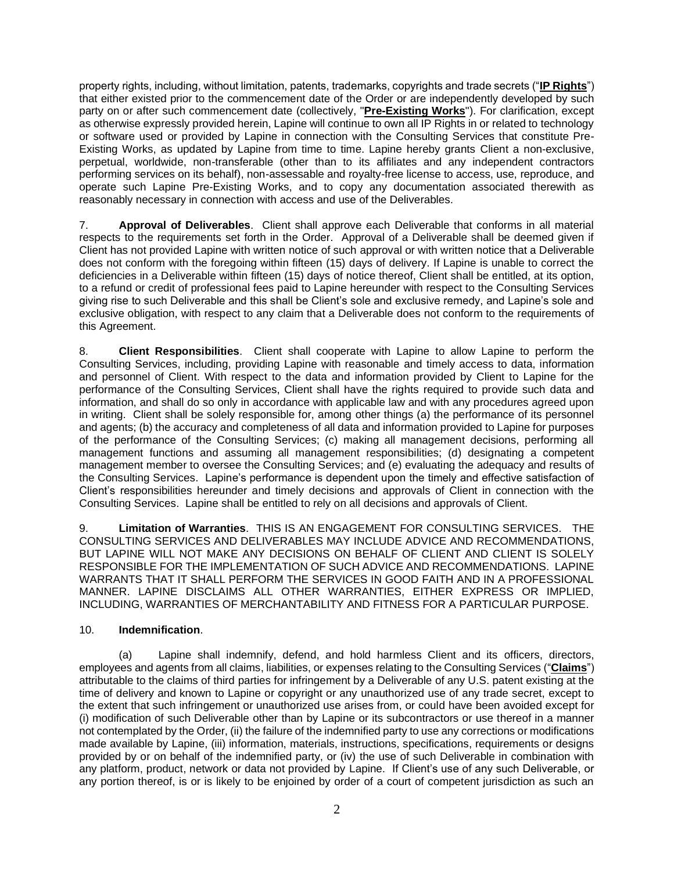property rights, including, without limitation, patents, trademarks, copyrights and trade secrets ("**IP Rights**") that either existed prior to the commencement date of the Order or are independently developed by such party on or after such commencement date (collectively, "**Pre-Existing Works**"). For clarification, except as otherwise expressly provided herein, Lapine will continue to own all IP Rights in or related to technology or software used or provided by Lapine in connection with the Consulting Services that constitute Pre-Existing Works, as updated by Lapine from time to time. Lapine hereby grants Client a non-exclusive, perpetual, worldwide, non-transferable (other than to its affiliates and any independent contractors performing services on its behalf), non-assessable and royalty-free license to access, use, reproduce, and operate such Lapine Pre-Existing Works, and to copy any documentation associated therewith as reasonably necessary in connection with access and use of the Deliverables.

7. **Approval of Deliverables**. Client shall approve each Deliverable that conforms in all material respects to the requirements set forth in the Order. Approval of a Deliverable shall be deemed given if Client has not provided Lapine with written notice of such approval or with written notice that a Deliverable does not conform with the foregoing within fifteen (15) days of delivery. If Lapine is unable to correct the deficiencies in a Deliverable within fifteen (15) days of notice thereof, Client shall be entitled, at its option, to a refund or credit of professional fees paid to Lapine hereunder with respect to the Consulting Services giving rise to such Deliverable and this shall be Client's sole and exclusive remedy, and Lapine's sole and exclusive obligation, with respect to any claim that a Deliverable does not conform to the requirements of this Agreement.

8. **Client Responsibilities**. Client shall cooperate with Lapine to allow Lapine to perform the Consulting Services, including, providing Lapine with reasonable and timely access to data, information and personnel of Client. With respect to the data and information provided by Client to Lapine for the performance of the Consulting Services, Client shall have the rights required to provide such data and information, and shall do so only in accordance with applicable law and with any procedures agreed upon in writing. Client shall be solely responsible for, among other things (a) the performance of its personnel and agents; (b) the accuracy and completeness of all data and information provided to Lapine for purposes of the performance of the Consulting Services; (c) making all management decisions, performing all management functions and assuming all management responsibilities; (d) designating a competent management member to oversee the Consulting Services; and (e) evaluating the adequacy and results of the Consulting Services. Lapine's performance is dependent upon the timely and effective satisfaction of Client's responsibilities hereunder and timely decisions and approvals of Client in connection with the Consulting Services. Lapine shall be entitled to rely on all decisions and approvals of Client.

9. **Limitation of Warranties**. THIS IS AN ENGAGEMENT FOR CONSULTING SERVICES. THE CONSULTING SERVICES AND DELIVERABLES MAY INCLUDE ADVICE AND RECOMMENDATIONS, BUT LAPINE WILL NOT MAKE ANY DECISIONS ON BEHALF OF CLIENT AND CLIENT IS SOLELY RESPONSIBLE FOR THE IMPLEMENTATION OF SUCH ADVICE AND RECOMMENDATIONS. LAPINE WARRANTS THAT IT SHALL PERFORM THE SERVICES IN GOOD FAITH AND IN A PROFESSIONAL MANNER. LAPINE DISCLAIMS ALL OTHER WARRANTIES, EITHER EXPRESS OR IMPLIED, INCLUDING, WARRANTIES OF MERCHANTABILITY AND FITNESS FOR A PARTICULAR PURPOSE.

# 10. **Indemnification**.

(a) Lapine shall indemnify, defend, and hold harmless Client and its officers, directors, employees and agents from all claims, liabilities, or expenses relating to the Consulting Services ("**Claims**") attributable to the claims of third parties for infringement by a Deliverable of any U.S. patent existing at the time of delivery and known to Lapine or copyright or any unauthorized use of any trade secret, except to the extent that such infringement or unauthorized use arises from, or could have been avoided except for (i) modification of such Deliverable other than by Lapine or its subcontractors or use thereof in a manner not contemplated by the Order, (ii) the failure of the indemnified party to use any corrections or modifications made available by Lapine, (iii) information, materials, instructions, specifications, requirements or designs provided by or on behalf of the indemnified party, or (iv) the use of such Deliverable in combination with any platform, product, network or data not provided by Lapine. If Client's use of any such Deliverable, or any portion thereof, is or is likely to be enjoined by order of a court of competent jurisdiction as such an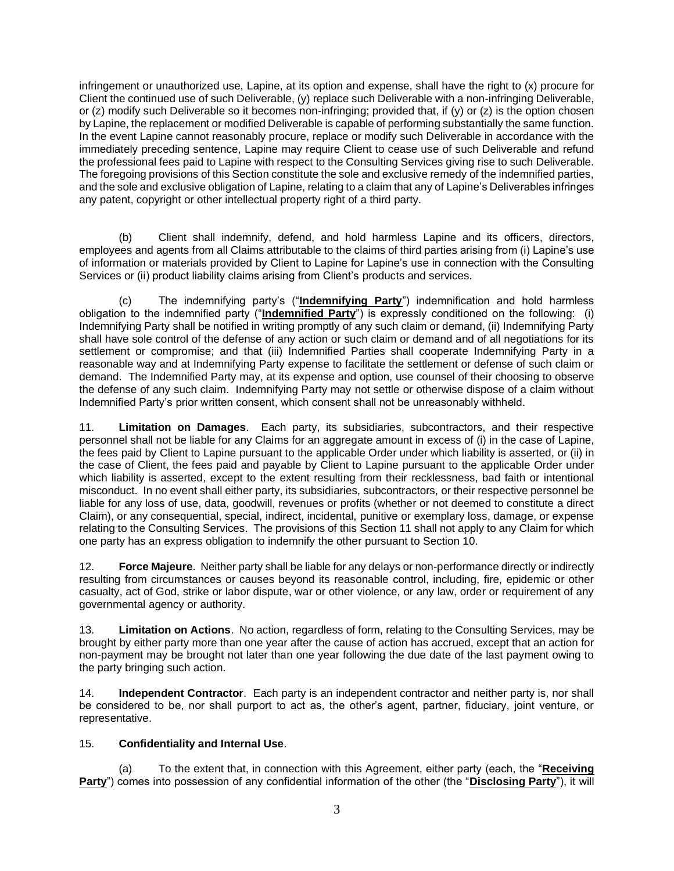infringement or unauthorized use, Lapine, at its option and expense, shall have the right to (x) procure for Client the continued use of such Deliverable, (y) replace such Deliverable with a non-infringing Deliverable, or (z) modify such Deliverable so it becomes non-infringing; provided that, if (y) or (z) is the option chosen by Lapine, the replacement or modified Deliverable is capable of performing substantially the same function. In the event Lapine cannot reasonably procure, replace or modify such Deliverable in accordance with the immediately preceding sentence, Lapine may require Client to cease use of such Deliverable and refund the professional fees paid to Lapine with respect to the Consulting Services giving rise to such Deliverable. The foregoing provisions of this Section constitute the sole and exclusive remedy of the indemnified parties, and the sole and exclusive obligation of Lapine, relating to a claim that any of Lapine's Deliverables infringes any patent, copyright or other intellectual property right of a third party.

(b) Client shall indemnify, defend, and hold harmless Lapine and its officers, directors, employees and agents from all Claims attributable to the claims of third parties arising from (i) Lapine's use of information or materials provided by Client to Lapine for Lapine's use in connection with the Consulting Services or (ii) product liability claims arising from Client's products and services.

(c) The indemnifying party's ("**Indemnifying Party**") indemnification and hold harmless obligation to the indemnified party ("**Indemnified Party**") is expressly conditioned on the following: (i) Indemnifying Party shall be notified in writing promptly of any such claim or demand, (ii) Indemnifying Party shall have sole control of the defense of any action or such claim or demand and of all negotiations for its settlement or compromise; and that (iii) Indemnified Parties shall cooperate Indemnifying Party in a reasonable way and at Indemnifying Party expense to facilitate the settlement or defense of such claim or demand. The Indemnified Party may, at its expense and option, use counsel of their choosing to observe the defense of any such claim. Indemnifying Party may not settle or otherwise dispose of a claim without Indemnified Party's prior written consent, which consent shall not be unreasonably withheld.

11. **Limitation on Damages**. Each party, its subsidiaries, subcontractors, and their respective personnel shall not be liable for any Claims for an aggregate amount in excess of (i) in the case of Lapine, the fees paid by Client to Lapine pursuant to the applicable Order under which liability is asserted, or (ii) in the case of Client, the fees paid and payable by Client to Lapine pursuant to the applicable Order under which liability is asserted, except to the extent resulting from their recklessness, bad faith or intentional misconduct. In no event shall either party, its subsidiaries, subcontractors, or their respective personnel be liable for any loss of use, data, goodwill, revenues or profits (whether or not deemed to constitute a direct Claim), or any consequential, special, indirect, incidental, punitive or exemplary loss, damage, or expense relating to the Consulting Services. The provisions of this Section 11 shall not apply to any Claim for which one party has an express obligation to indemnify the other pursuant to Section 10.

12. **Force Majeure**. Neither party shall be liable for any delays or non-performance directly or indirectly resulting from circumstances or causes beyond its reasonable control, including, fire, epidemic or other casualty, act of God, strike or labor dispute, war or other violence, or any law, order or requirement of any governmental agency or authority.

13. **Limitation on Actions**. No action, regardless of form, relating to the Consulting Services, may be brought by either party more than one year after the cause of action has accrued, except that an action for non-payment may be brought not later than one year following the due date of the last payment owing to the party bringing such action.

14. **Independent Contractor**. Each party is an independent contractor and neither party is, nor shall be considered to be, nor shall purport to act as, the other's agent, partner, fiduciary, joint venture, or representative.

# 15. **Confidentiality and Internal Use**.

(a) To the extent that, in connection with this Agreement, either party (each, the "**Receiving Party**") comes into possession of any confidential information of the other (the "**Disclosing Party**"), it will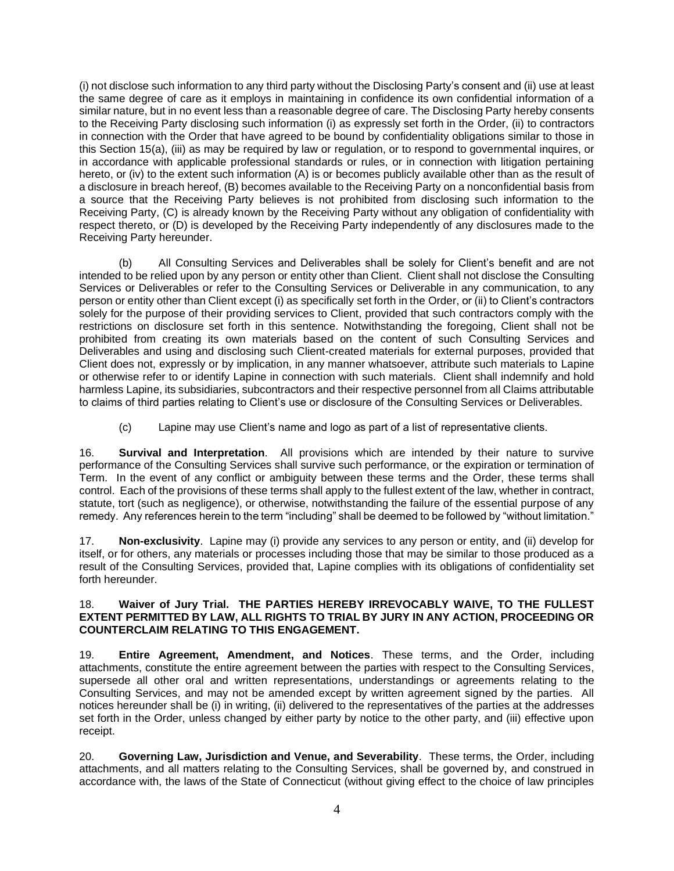(i) not disclose such information to any third party without the Disclosing Party's consent and (ii) use at least the same degree of care as it employs in maintaining in confidence its own confidential information of a similar nature, but in no event less than a reasonable degree of care. The Disclosing Party hereby consents to the Receiving Party disclosing such information (i) as expressly set forth in the Order, (ii) to contractors in connection with the Order that have agreed to be bound by confidentiality obligations similar to those in this Section 15(a), (iii) as may be required by law or regulation, or to respond to governmental inquires, or in accordance with applicable professional standards or rules, or in connection with litigation pertaining hereto, or (iv) to the extent such information (A) is or becomes publicly available other than as the result of a disclosure in breach hereof, (B) becomes available to the Receiving Party on a nonconfidential basis from a source that the Receiving Party believes is not prohibited from disclosing such information to the Receiving Party, (C) is already known by the Receiving Party without any obligation of confidentiality with respect thereto, or (D) is developed by the Receiving Party independently of any disclosures made to the Receiving Party hereunder.

(b) All Consulting Services and Deliverables shall be solely for Client's benefit and are not intended to be relied upon by any person or entity other than Client. Client shall not disclose the Consulting Services or Deliverables or refer to the Consulting Services or Deliverable in any communication, to any person or entity other than Client except (i) as specifically set forth in the Order, or (ii) to Client's contractors solely for the purpose of their providing services to Client, provided that such contractors comply with the restrictions on disclosure set forth in this sentence. Notwithstanding the foregoing, Client shall not be prohibited from creating its own materials based on the content of such Consulting Services and Deliverables and using and disclosing such Client-created materials for external purposes, provided that Client does not, expressly or by implication, in any manner whatsoever, attribute such materials to Lapine or otherwise refer to or identify Lapine in connection with such materials. Client shall indemnify and hold harmless Lapine, its subsidiaries, subcontractors and their respective personnel from all Claims attributable to claims of third parties relating to Client's use or disclosure of the Consulting Services or Deliverables.

(c) Lapine may use Client's name and logo as part of a list of representative clients.

16. **Survival and Interpretation**. All provisions which are intended by their nature to survive performance of the Consulting Services shall survive such performance, or the expiration or termination of Term. In the event of any conflict or ambiguity between these terms and the Order, these terms shall control. Each of the provisions of these terms shall apply to the fullest extent of the law, whether in contract, statute, tort (such as negligence), or otherwise, notwithstanding the failure of the essential purpose of any remedy. Any references herein to the term "including" shall be deemed to be followed by "without limitation."

17. **Non-exclusivity**. Lapine may (i) provide any services to any person or entity, and (ii) develop for itself, or for others, any materials or processes including those that may be similar to those produced as a result of the Consulting Services, provided that, Lapine complies with its obligations of confidentiality set forth hereunder.

### 18. **Waiver of Jury Trial. THE PARTIES HEREBY IRREVOCABLY WAIVE, TO THE FULLEST EXTENT PERMITTED BY LAW, ALL RIGHTS TO TRIAL BY JURY IN ANY ACTION, PROCEEDING OR COUNTERCLAIM RELATING TO THIS ENGAGEMENT.**

19. **Entire Agreement, Amendment, and Notices**. These terms, and the Order, including attachments, constitute the entire agreement between the parties with respect to the Consulting Services, supersede all other oral and written representations, understandings or agreements relating to the Consulting Services, and may not be amended except by written agreement signed by the parties. All notices hereunder shall be (i) in writing, (ii) delivered to the representatives of the parties at the addresses set forth in the Order, unless changed by either party by notice to the other party, and (iii) effective upon receipt.

20. **Governing Law, Jurisdiction and Venue, and Severability**. These terms, the Order, including attachments, and all matters relating to the Consulting Services, shall be governed by, and construed in accordance with, the laws of the State of Connecticut (without giving effect to the choice of law principles